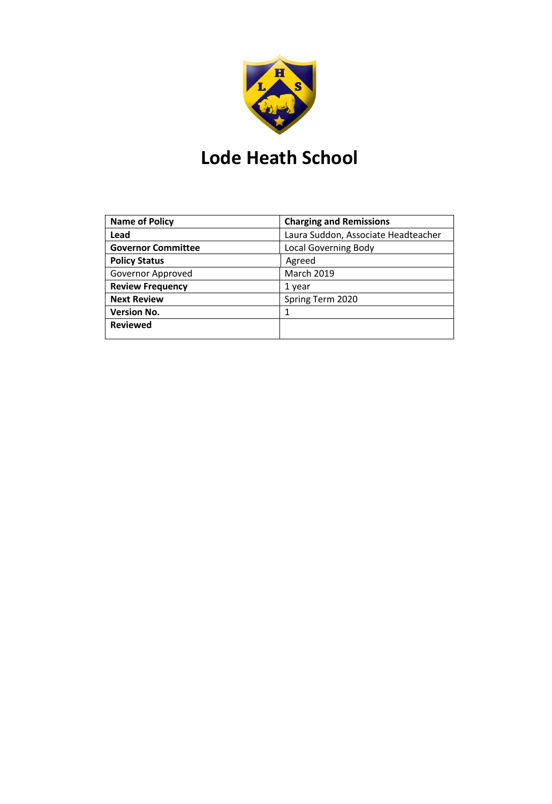

# **Lode Heath School**

| <b>Name of Policy</b>     | <b>Charging and Remissions</b>      |
|---------------------------|-------------------------------------|
| Lead                      | Laura Suddon, Associate Headteacher |
| <b>Governor Committee</b> | <b>Local Governing Body</b>         |
| <b>Policy Status</b>      | Agreed                              |
| Governor Approved         | <b>March 2019</b>                   |
| <b>Review Frequency</b>   | 1 year                              |
| <b>Next Review</b>        | Spring Term 2020                    |
| <b>Version No.</b>        | 1                                   |
| <b>Reviewed</b>           |                                     |
|                           |                                     |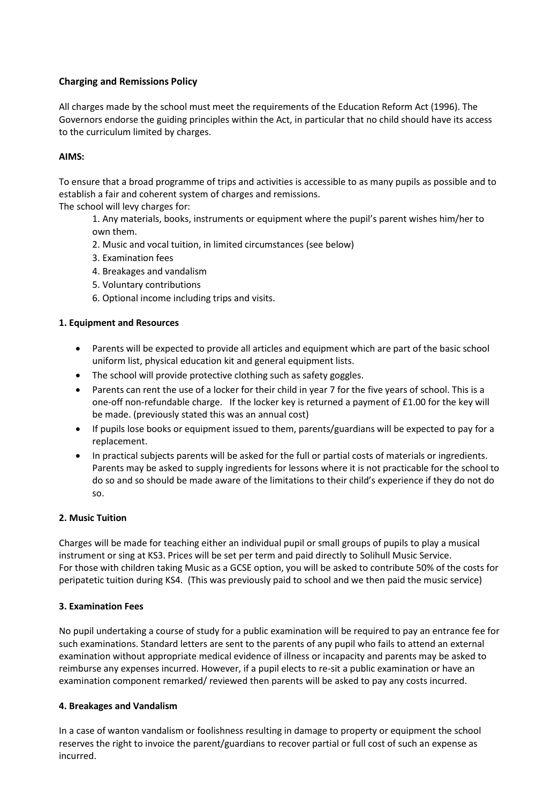## **Charging and Remissions Policy**

All charges made by the school must meet the requirements of the Education Reform Act (1996). The Governors endorse the guiding principles within the Act, in particular that no child should have its access to the curriculum limited by charges.

## **AIMS:**

To ensure that a broad programme of trips and activities is accessible to as many pupils as possible and to establish a fair and coherent system of charges and remissions.

The school will levy charges for:

1. Any materials, books, instruments or equipment where the pupil's parent wishes him/her to own them.

- 2. Music and vocal tuition, in limited circumstances (see below)
- 3. Examination fees
- 4. Breakages and vandalism
- 5. Voluntary contributions
- 6. Optional income including trips and visits.

## **1. Equipment and Resources**

- Parents will be expected to provide all articles and equipment which are part of the basic school uniform list, physical education kit and general equipment lists.
- The school will provide protective clothing such as safety goggles.
- Parents can rent the use of a locker for their child in year 7 for the five years of school. This is a one-off non-refundable charge. If the locker key is returned a payment of £1.00 for the key will be made. (previously stated this was an annual cost)
- If pupils lose books or equipment issued to them, parents/guardians will be expected to pay for a replacement.
- In practical subjects parents will be asked for the full or partial costs of materials or ingredients. Parents may be asked to supply ingredients for lessons where it is not practicable for the school to do so and so should be made aware of the limitations to their child's experience if they do not do so.

#### **2. Music Tuition**

Charges will be made for teaching either an individual pupil or small groups of pupils to play a musical instrument or sing at KS3. Prices will be set per term and paid directly to Solihull Music Service. For those with children taking Music as a GCSE option, you will be asked to contribute 50% of the costs for peripatetic tuition during KS4. (This was previously paid to school and we then paid the music service)

#### **3. Examination Fees**

No pupil undertaking a course of study for a public examination will be required to pay an entrance fee for such examinations. Standard letters are sent to the parents of any pupil who fails to attend an external examination without appropriate medical evidence of illness or incapacity and parents may be asked to reimburse any expenses incurred. However, if a pupil elects to re-sit a public examination or have an examination component remarked/ reviewed then parents will be asked to pay any costs incurred.

#### **4. Breakages and Vandalism**

In a case of wanton vandalism or foolishness resulting in damage to property or equipment the school reserves the right to invoice the parent/guardians to recover partial or full cost of such an expense as incurred.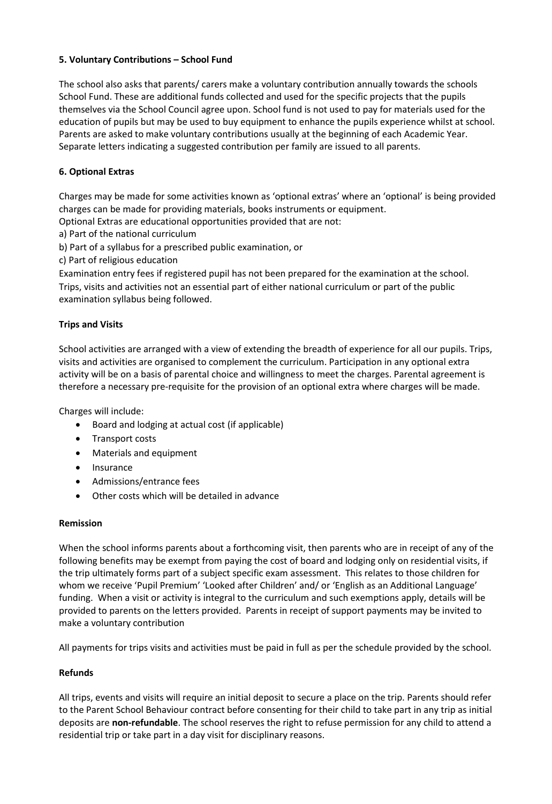## **5. Voluntary Contributions – School Fund**

The school also asks that parents/ carers make a voluntary contribution annually towards the schools School Fund. These are additional funds collected and used for the specific projects that the pupils themselves via the School Council agree upon. School fund is not used to pay for materials used for the education of pupils but may be used to buy equipment to enhance the pupils experience whilst at school. Parents are asked to make voluntary contributions usually at the beginning of each Academic Year. Separate letters indicating a suggested contribution per family are issued to all parents.

## **6. Optional Extras**

Charges may be made for some activities known as 'optional extras' where an 'optional' is being provided charges can be made for providing materials, books instruments or equipment.

Optional Extras are educational opportunities provided that are not:

a) Part of the national curriculum

b) Part of a syllabus for a prescribed public examination, or

c) Part of religious education

Examination entry fees if registered pupil has not been prepared for the examination at the school. Trips, visits and activities not an essential part of either national curriculum or part of the public examination syllabus being followed.

## **Trips and Visits**

School activities are arranged with a view of extending the breadth of experience for all our pupils. Trips, visits and activities are organised to complement the curriculum. Participation in any optional extra activity will be on a basis of parental choice and willingness to meet the charges. Parental agreement is therefore a necessary pre-requisite for the provision of an optional extra where charges will be made.

Charges will include:

- Board and lodging at actual cost (if applicable)
- Transport costs
- Materials and equipment
- Insurance
- Admissions/entrance fees
- Other costs which will be detailed in advance

#### **Remission**

When the school informs parents about a forthcoming visit, then parents who are in receipt of any of the following benefits may be exempt from paying the cost of board and lodging only on residential visits, if the trip ultimately forms part of a subject specific exam assessment. This relates to those children for whom we receive 'Pupil Premium' 'Looked after Children' and/ or 'English as an Additional Language' funding. When a visit or activity is integral to the curriculum and such exemptions apply, details will be provided to parents on the letters provided. Parents in receipt of support payments may be invited to make a voluntary contribution

All payments for trips visits and activities must be paid in full as per the schedule provided by the school.

#### **Refunds**

All trips, events and visits will require an initial deposit to secure a place on the trip. Parents should refer to the Parent School Behaviour contract before consenting for their child to take part in any trip as initial deposits are **non-refundable**. The school reserves the right to refuse permission for any child to attend a residential trip or take part in a day visit for disciplinary reasons.